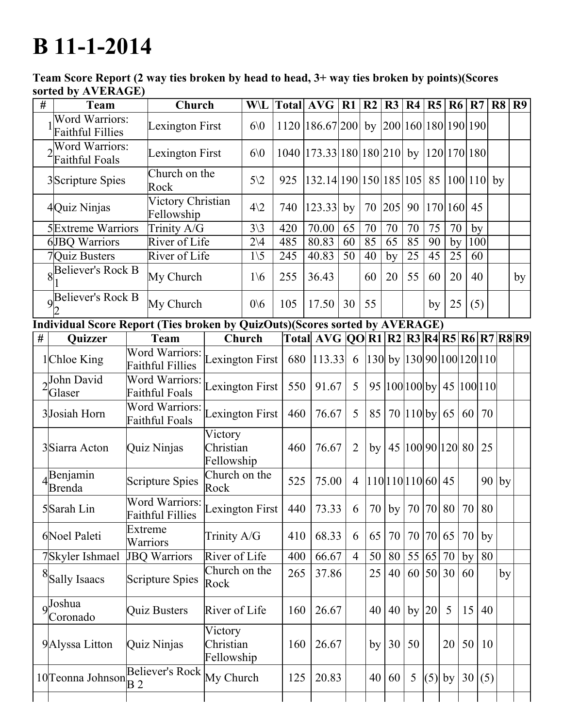## **B** 11-1-2014

Team Score Report (2 way ties broken by head to head, 3+ way ties broken by points)(Scores sorted by AVERAGE)

| # | <b>Team</b>                                                                 |                                                                           | Church                          |                                    | <b>W\L</b>      |     |     | Total $AVG   R1$                                           |                | R <sub>2</sub>                       | R3     | $\vert$ R4                           | R <sub>5</sub> | <b>R6</b> | R7  |     | R8      | R <sub>9</sub> |
|---|-----------------------------------------------------------------------------|---------------------------------------------------------------------------|---------------------------------|------------------------------------|-----------------|-----|-----|------------------------------------------------------------|----------------|--------------------------------------|--------|--------------------------------------|----------------|-----------|-----|-----|---------|----------------|
|   | <b>Word Warriors:</b><br><b>Faithful Fillies</b>                            | Lexington First                                                           |                                 |                                    | 60 <sub>0</sub> |     |     | 1120 186.67 200                                            |                |                                      |        | by $ 200 160 180 190 190$            |                |           |     |     |         |                |
|   | Word Warriors:<br><b>Faithful Foals</b>                                     | Lexington First                                                           |                                 |                                    | 60              |     |     | 1040 173.33 180 180 210 by 120 170 180                     |                |                                      |        |                                      |                |           |     |     |         |                |
|   | 3Scripture Spies<br>Rock                                                    |                                                                           | Church on the                   |                                    | $5\sqrt{2}$     | 925 |     | 132.14 190 150 185 105  85                                 |                |                                      |        |                                      |                | 100 110   |     |     | by      |                |
|   | 4Quiz Ninjas                                                                |                                                                           | Victory Christian<br>Fellowship |                                    | $4\sqrt{2}$     | 740 |     | 123.33                                                     | by             | 70                                   | 205    | 90                                   |                | 170 160   | 45  |     |         |                |
|   | <b>5</b> Extreme Warriors                                                   |                                                                           | Trinity A/G                     |                                    | $3\backslash 3$ | 420 |     | 70.00                                                      | 65             | 70                                   | $70\,$ | 70                                   | 75             | 70        | by  |     |         |                |
|   | 6JBQ Warriors                                                               |                                                                           | River of Life                   |                                    | $2\vee 4$       | 485 |     | 80.83                                                      | 60             | 85                                   | 65     | 85                                   | 90             | by        | 100 |     |         |                |
|   | 7Quiz Busters                                                               |                                                                           | River of Life                   |                                    | $1\backslash 5$ | 245 |     | 40.83                                                      | 50             | 40                                   | by     | 25                                   | 45             | 25        | 60  |     |         |                |
|   | <b>R</b> Believer's Rock B                                                  |                                                                           | My Church                       |                                    | $1\backslash 6$ | 255 |     | 36.43                                                      |                | 60                                   | 20     | 55                                   | 60             | 20        | 40  |     |         | by             |
|   | 9 <b>Believer's Rock B</b>                                                  |                                                                           | My Church                       |                                    | 0/6             | 105 |     | 17.50                                                      | 30             | 55                                   |        |                                      | by             | 25        | (5) |     |         |                |
|   | Individual Score Report (Ties broken by QuizOuts)(Scores sorted by AVERAGE) |                                                                           |                                 |                                    |                 |     |     |                                                            |                |                                      |        |                                      |                |           |     |     |         |                |
| # | Quizzer                                                                     |                                                                           | Team                            |                                    | Church          |     |     | Total  AVG  QO  R1   R2   R3   R4   R5   R6   R7   R8   R9 |                |                                      |        |                                      |                |           |     |     |         |                |
|   | 1Chloe King                                                                 | Word Warriors:<br><b>Faithful Fillies</b>                                 |                                 | exington First                     |                 |     |     | 680 113.33                                                 | 6              |                                      |        | $ 130 $ by $ 130 90 100 120 110 $    |                |           |     |     |         |                |
|   | $\sqrt{$ John David<br>Glaser                                               | <b>Word Warriors:</b><br>Faithful Foals                                   |                                 | exington First                     |                 |     | 550 | 91.67                                                      | 5              |                                      |        | 95   100   100   by   45   100   110 |                |           |     |     |         |                |
|   | 3Josiah Horn                                                                | Word Warriors:<br><b>Faithful Foals</b>                                   |                                 | exington First                     |                 |     | 460 | 76.67                                                      | 5              | 85                                   |        | $70$  110 by  65                     |                |           | 60  | 70  |         |                |
|   | 3Siarra Acton                                                               | Quiz Ninjas                                                               |                                 | Victory<br>Christian<br>Fellowship |                 |     | 460 | 76.67                                                      | $\overline{2}$ | by                                   |        | 45 100 90 120 80                     |                |           |     | 25  |         |                |
|   | Benjamin<br><b>Brenda</b>                                                   | <b>Scripture Spies</b>                                                    |                                 | Church on the<br>Rock              |                 |     | 525 | 75.00                                                      | $\overline{4}$ |                                      |        | $11011011060$ 45                     |                |           |     |     | $90$ by |                |
|   | 5Sarah Lin                                                                  | Word Warriors: Lexington First   440   73.33  <br><b>Faithful Fillies</b> |                                 |                                    |                 |     |     |                                                            |                | 6   70   by   70   70   80   70   80 |        |                                      |                |           |     |     |         |                |
|   | 6Noel Paleti                                                                | Extreme<br>Warriors                                                       |                                 | Trinity A/G                        |                 |     | 410 | 68.33                                                      | 6              | 65                                   | 70     |                                      | 70 70 65       |           | 70  | by  |         |                |
|   | 7Skyler Ishmael                                                             | <b>JBQ Warriors</b>                                                       |                                 | River of Life                      |                 |     | 400 | 66.67                                                      | $\overline{4}$ | 50                                   | 80     |                                      | 55 65 70       |           | by  | 80  |         |                |
|   | <sup>8</sup> Sally Isaacs                                                   | <b>Scripture Spies</b>                                                    |                                 | Church on the<br>Rock              |                 |     | 265 | 37.86                                                      |                | 25                                   | 40     |                                      | 60 50 30       |           | 60  |     | by      |                |
|   | 9 <sup>Joshua</sup><br>Coronado                                             |                                                                           | <b>Quiz Busters</b>             | River of Life                      |                 |     | 160 | 26.67                                                      |                | 40                                   | 40     |                                      | by $ 20 $      | 5         | 15  | 40  |         |                |
|   | 9Alyssa Litton                                                              | Quiz Ninjas                                                               |                                 | Victory<br>Christian<br>Fellowship |                 |     | 160 | 26.67                                                      |                | by                                   | 30     | 50                                   |                | 20        | 50  | 10  |         |                |
|   | 10 Teonna Johnson                                                           | <b>Believer's Rock</b><br>B <sub>2</sub>                                  |                                 | My Church                          |                 |     | 125 | 20.83                                                      |                | 40                                   | 60     | 5                                    | $(5)$ by       |           | 30  | (5) |         |                |
|   |                                                                             |                                                                           |                                 |                                    |                 |     |     |                                                            |                |                                      |        |                                      |                |           |     |     |         |                |